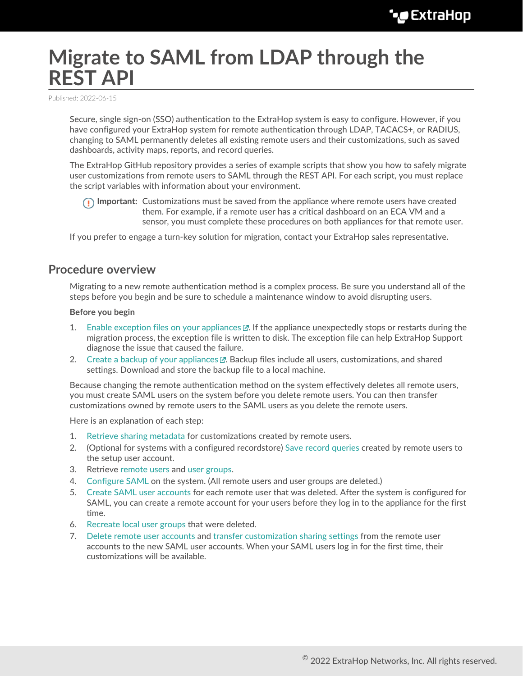# **Migrate to SAML from LDAP through the REST API**

Published: 2022-06-15

Secure, single sign-on (SSO) authentication to the ExtraHop system is easy to configure. However, if you have configured your ExtraHop system for remote authentication through LDAP, TACACS+, or RADIUS, changing to SAML permanently deletes all existing remote users and their customizations, such as saved dashboards, activity maps, reports, and record queries.

The ExtraHop GitHub repository provides a series of example scripts that show you how to safely migrate user customizations from remote users to SAML through the REST API. For each script, you must replace the script variables with information about your environment.

**Important:** Customizations must be saved from the appliance where remote users have created them. For example, if a remote user has a critical dashboard on an ECA VM and a sensor, you must complete these procedures on both appliances for that remote user.

If you prefer to engage a turn-key solution for migration, contact your ExtraHop sales representative.

# **Procedure overview**

Migrating to a new remote authentication method is a complex process. Be sure you understand all of the steps before you begin and be sure to schedule a maintenance window to avoid disrupting users.

#### **Before you begin**

- 1. Enable exception files on your appliances  $\mathbb{E}$ . If the appliance unexpectedly stops or restarts during the migration process, the exception file is written to disk. The exception file can help ExtraHop Support diagnose the issue that caused the failure.
- 2. [Create a backup of your appliances](https://docs.extrahop.com/8.9/backup_eda_eca/#back-up-a-sensor-or-eca-vm)  $\mathbb{E}$ . Backup files include all users, customizations, and shared settings. Download and store the backup file to a local machine.

Because changing the remote authentication method on the system effectively deletes all remote users, you must create SAML users on the system before you delete remote users. You can then transfer customizations owned by remote users to the SAML users as you delete the remote users.

Here is an explanation of each step:

- 1. [Retrieve sharing metadata](#page-1-0) for customizations created by remote users.
- 2. (Optional for systems with a configured recordstore) [Save record queries](#page-1-1) created by remote users to the setup user account.
- 3. Retrieve [remote users](#page-2-0) and [user groups](#page-2-1).
- 4. [Configure SAML](#page-2-2) on the system. (All remote users and user groups are deleted.)
- 5. [Create SAML user accounts](#page-2-3) for each remote user that was deleted. After the system is configured for SAML, you can create a remote account for your users before they log in to the appliance for the first time.
- 6. [Recreate local user groups](#page-3-0) that were deleted.
- 7. [Delete remote user accounts](#page-3-1) and [transfer customization sharing settings](#page-3-2) from the remote user accounts to the new SAML user accounts. When your SAML users log in for the first time, their customizations will be available.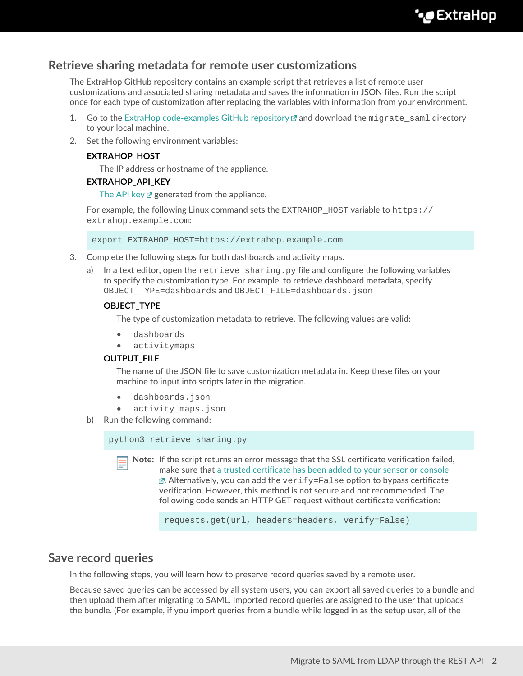# <span id="page-1-0"></span>**Retrieve sharing metadata for remote user customizations**

The ExtraHop GitHub repository contains an example script that retrieves a list of remote user customizations and associated sharing metadata and saves the information in JSON files. Run the script once for each type of customization after replacing the variables with information from your environment.

- 1. Go to the [ExtraHop code-examples GitHub repository](https://github.com/ExtraHop/code-examples/tree/main/migrate_saml)  $\Box$  and download the migrate\_saml directory to your local machine.
- 2. Set the following environment variables:

## **EXTRAHOP\_HOST**

The IP address or hostname of the appliance.

### **EXTRAHOP\_API\_KEY**

[The API key](https://docs.extrahop.com/8.9/eta-admin-ui-guide/#generate-an-api-key)  $\mathbb Z$  generated from the appliance.

For example, the following Linux command sets the EXTRAHOP\_HOST variable to https:// extrahop.example.com:

export EXTRAHOP\_HOST=https://extrahop.example.com

- 3. Complete the following steps for both dashboards and activity maps.
	- a) In a text editor, open the  $\text{retrieve}$  sharing. py file and configure the following variables to specify the customization type. For example, to retrieve dashboard metadata, specify OBJECT\_TYPE=dashboards and OBJECT\_FILE=dashboards.json

#### **OBJECT\_TYPE**

The type of customization metadata to retrieve. The following values are valid:

- dashboards
- activitymaps

#### **OUTPUT\_FILE**

The name of the JSON file to save customization metadata in. Keep these files on your machine to input into scripts later in the migration.

- dashboards.json
- activity\_maps.json
- b) Run the following command:

python3 retrieve\_sharing.py

**Note:** If the script returns an error message that the SSL certificate verification failed, make sure that [a trusted certificate has been added to your sensor or console](https://docs.extrahop.com/8.9/eh-admin-ui-guide/#ssl-certificate)  $\mathbb{E}$ . Alternatively, you can add the verify=False option to bypass certificate verification. However, this method is not secure and not recommended. The following code sends an HTTP GET request without certificate verification:

requests.get(url, headers=headers, verify=False)

# <span id="page-1-1"></span>**Save record queries**

In the following steps, you will learn how to preserve record queries saved by a remote user.

Because saved queries can be accessed by all system users, you can export all saved queries to a bundle and then upload them after migrating to SAML. Imported record queries are assigned to the user that uploads the bundle. (For example, if you import queries from a bundle while logged in as the setup user, all of the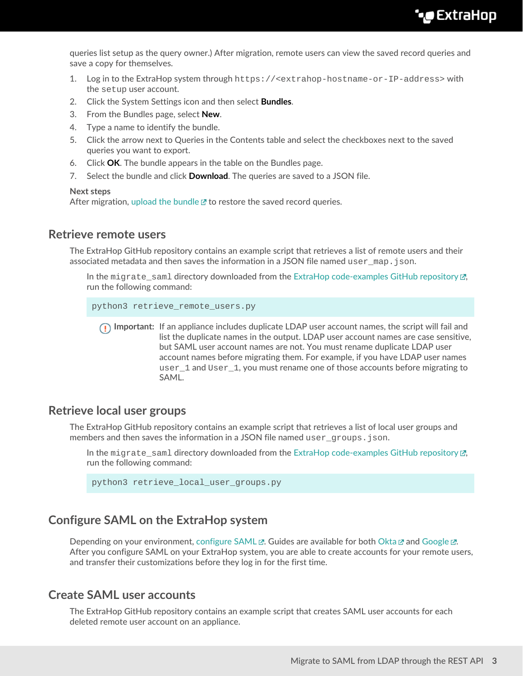**∙.e** ExtraHop

queries list setup as the query owner.) After migration, remote users can view the saved record queries and save a copy for themselves.

- 1. Log in to the ExtraHop system through https://<extrahop-hostname-or-IP-address> with the setup user account.
- 2. Click the System Settings icon and then select **Bundles**.
- 3. From the Bundles page, select **New**.
- 4. Type a name to identify the bundle.
- 5. Click the arrow next to Queries in the Contents table and select the checkboxes next to the saved queries you want to export.
- 6. Click **OK**. The bundle appears in the table on the Bundles page.
- 7. Select the bundle and click **Download**. The queries are saved to a JSON file.

#### **Next steps**

After migration, [upload the bundle](https://docs.extrahop.com/8.9/install-a-bundle)  $\mathbb Z$  to restore the saved record queries.

## <span id="page-2-0"></span>**Retrieve remote users**

The ExtraHop GitHub repository contains an example script that retrieves a list of remote users and their associated metadata and then saves the information in a JSON file named user  $\text{map.join.}$ 

In the migrate\_saml directory downloaded from the [ExtraHop code-examples GitHub repository](https://github.com/ExtraHop/code-examples/tree/main/migrate_saml)  $\mathbb{F}$ , run the following command:

```
python3 retrieve_remote_users.py
```
**Important:** If an appliance includes duplicate LDAP user account names, the script will fail and list the duplicate names in the output. LDAP user account names are case sensitive, but SAML user account names are not. You must rename duplicate LDAP user account names before migrating them. For example, if you have LDAP user names user 1 and User 1, you must rename one of those accounts before migrating to SAML.

## <span id="page-2-1"></span>**Retrieve local user groups**

The ExtraHop GitHub repository contains an example script that retrieves a list of local user groups and members and then saves the information in a JSON file named user\_groups.json.

In the migrate saml directory downloaded from the [ExtraHop code-examples GitHub repository](https://github.com/ExtraHop/code-examples/tree/main/migrate_saml)  $\mathbb{F}$ , run the following command:

python3 retrieve\_local\_user\_groups.py

# <span id="page-2-2"></span>**Configure SAML on the ExtraHop system**

Depending on your environment, [configure SAML](https://docs.extrahop.com/8.9/configure-saml)  $\mathbb Z$ . Guides are available for both [Okta](https://docs.extrahop.com/8.9/configure-saml-okta)  $\mathbb Z$  and [Google](https://docs.extrahop.com/8.9/configure-saml-google)  $\mathbb Z$ . After you configure SAML on your ExtraHop system, you are able to create accounts for your remote users, and transfer their customizations before they log in for the first time.

# <span id="page-2-3"></span>**Create SAML user accounts**

The ExtraHop GitHub repository contains an example script that creates SAML user accounts for each deleted remote user account on an appliance.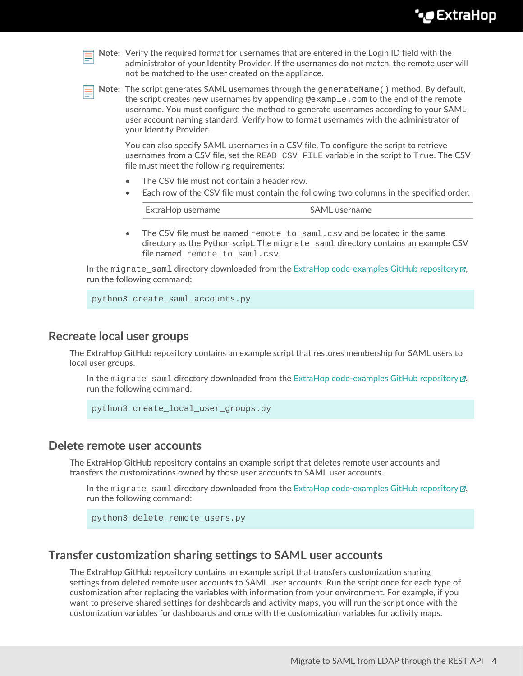| __ |  |
|----|--|

**Note:** Verify the required format for usernames that are entered in the Login ID field with the administrator of your Identity Provider. If the usernames do not match, the remote user will not be matched to the user created on the appliance.

**Note:** The script generates SAML usernames through the generateName() method. By default, the script creates new usernames by appending  $@example.com$  to the end of the remote username. You must configure the method to generate usernames according to your SAML user account naming standard. Verify how to format usernames with the administrator of your Identity Provider.

You can also specify SAML usernames in a CSV file. To configure the script to retrieve usernames from a CSV file, set the READ\_CSV\_FILE variable in the script to True. The CSV file must meet the following requirements:

- The CSV file must not contain a header row.
- Each row of the CSV file must contain the following two columns in the specified order:

| SAML username<br>ExtraHop username |
|------------------------------------|
|------------------------------------|

• The CSV file must be named  $\text{remote_to}$  saml.csv and be located in the same directory as the Python script. The migrate\_saml directory contains an example CSV file named remote\_to\_saml.csv.

In the migrate saml directory downloaded from the [ExtraHop code-examples GitHub repository](https://github.com/ExtraHop/code-examples/tree/main/migrate_saml)  $\mathbb{Z}$ , run the following command:

python3 create\_saml\_accounts.py

## <span id="page-3-0"></span>**Recreate local user groups**

The ExtraHop GitHub repository contains an example script that restores membership for SAML users to local user groups.

In the migrate saml directory downloaded from the [ExtraHop code-examples GitHub repository](https://github.com/ExtraHop/code-examples/tree/main/migrate_saml)  $\mathbb{F}$ , run the following command:

```
python3 create_local_user_groups.py
```
# <span id="page-3-1"></span>**Delete remote user accounts**

The ExtraHop GitHub repository contains an example script that deletes remote user accounts and transfers the customizations owned by those user accounts to SAML user accounts.

In the migrate\_saml directory downloaded from the [ExtraHop code-examples GitHub repository](https://github.com/ExtraHop/code-examples/tree/main/migrate_saml)  $\mathbb{F}$ , run the following command:

python3 delete\_remote\_users.py

# <span id="page-3-2"></span>**Transfer customization sharing settings to SAML user accounts**

The ExtraHop GitHub repository contains an example script that transfers customization sharing settings from deleted remote user accounts to SAML user accounts. Run the script once for each type of customization after replacing the variables with information from your environment. For example, if you want to preserve shared settings for dashboards and activity maps, you will run the script once with the customization variables for dashboards and once with the customization variables for activity maps.